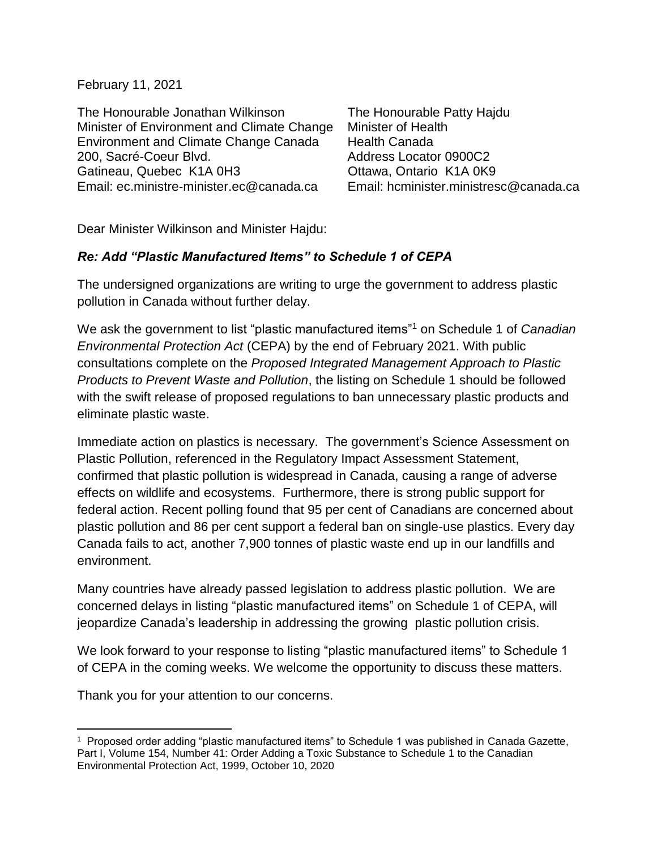February 11, 2021

The Honourable Jonathan Wilkinson The Honourable Patty Hajdu Minister of Environment and Climate Change Minister of Health Environment and Climate Change Canada Health Canada 200, Sacré-Coeur Blvd. Address Locator 0900C2 Gatineau, Quebec K1A 0H3 Cttawa, Ontario K1A 0K9 Email: [ec.ministre-minister.ec@canada.ca](mailto:ec.ministre-minister.ec@canada.ca) Email: hcminister.ministresc@canada.ca

Dear Minister Wilkinson and Minister Hajdu:

## *Re: Add "Plastic Manufactured Items" to Schedule 1 of CEPA*

The undersigned organizations are writing to urge the government to address plastic pollution in Canada without further delay.

We ask the government to list "plastic manufactured items"<sup>1</sup> on Schedule 1 of *Canadian Environmental Protection Act* (CEPA) by the end of February 2021. With public consultations complete on the *Proposed Integrated Management Approach to Plastic Products to Prevent Waste and Pollution*, the listing on Schedule 1 should be followed with the swift release of proposed regulations to ban unnecessary plastic products and eliminate plastic waste.

Immediate action on plastics is necessary. The government's Science Assessment on Plastic Pollution, referenced in the Regulatory Impact Assessment Statement, confirmed that plastic pollution is widespread in Canada, causing a range of adverse effects on wildlife and ecosystems. Furthermore, there is strong public support for federal action. Recent polling found that 95 per cent of Canadians are concerned about plastic pollution and 86 per cent support a federal ban on single-use plastics. Every day Canada fails to act, another 7,900 tonnes of plastic waste end up in our landfills and environment.

Many countries have already passed legislation to address plastic pollution. We are concerned delays in listing "plastic manufactured items" on Schedule 1 of CEPA, will jeopardize Canada's leadership in addressing the growing plastic pollution crisis.

We look forward to your response to listing "plastic manufactured items" to Schedule 1 of CEPA in the coming weeks. We welcome the opportunity to discuss these matters.

Thank you for your attention to our concerns.

 $\overline{a}$ 

<sup>1</sup> Proposed order adding "plastic manufactured items" to Schedule 1 was published in Canada Gazette, Part I, Volume 154, Number 41: Order Adding a Toxic Substance to Schedule 1 to the Canadian Environmental Protection Act, 1999, October 10, 2020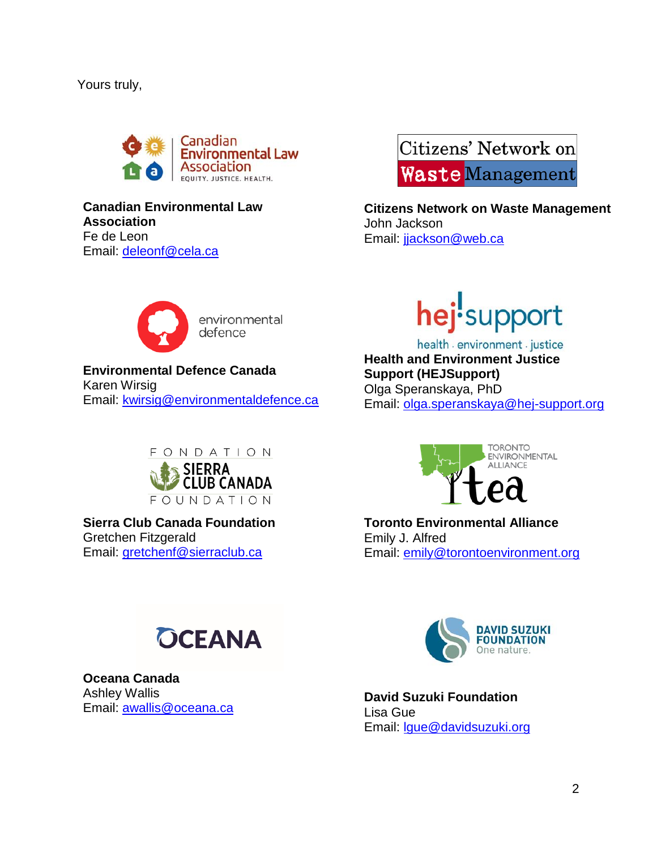## Yours truly,



## **Canadian Environmental Law Association** Fe de Leon Email: [deleonf@cela.ca](mailto:deleonf@cela.ca)

Citizens' Network on **Waste Management** 

**Citizens Network on Waste Management**  John Jackson Email: [jjackson@web.ca](mailto:jjackson@web.ca)



environmental defence

**Environmental Defence Canada** Karen Wirsig Email: [kwirsig@environmentaldefence.ca](mailto:kwirsig@environmentaldefence.ca)



**Sierra Club Canada Foundation**  Gretchen Fitzgerald Email: [gretchenf@sierraclub.ca](mailto:gretchenf@sierraclub.ca)



health a environment a justice **Health and Environment Justice Support (HEJSupport)** Olga Speranskaya, PhD Email: [olga.speranskaya@hej-support.org](mailto:olga.speranskaya@hej-support.org)



**Toronto Environmental Alliance** Emily J. Alfred Email: [emily@torontoenvironment.org](mailto:emily@torontoenvironment.org)



**Oceana Canada** Ashley Wallis Email: [awallis@oceana.ca](mailto:awallis@oceana.ca)



**David Suzuki Foundation** Lisa Gue Email: [lgue@davidsuzuki.org](mailto:lgue@davidsuzuki.org)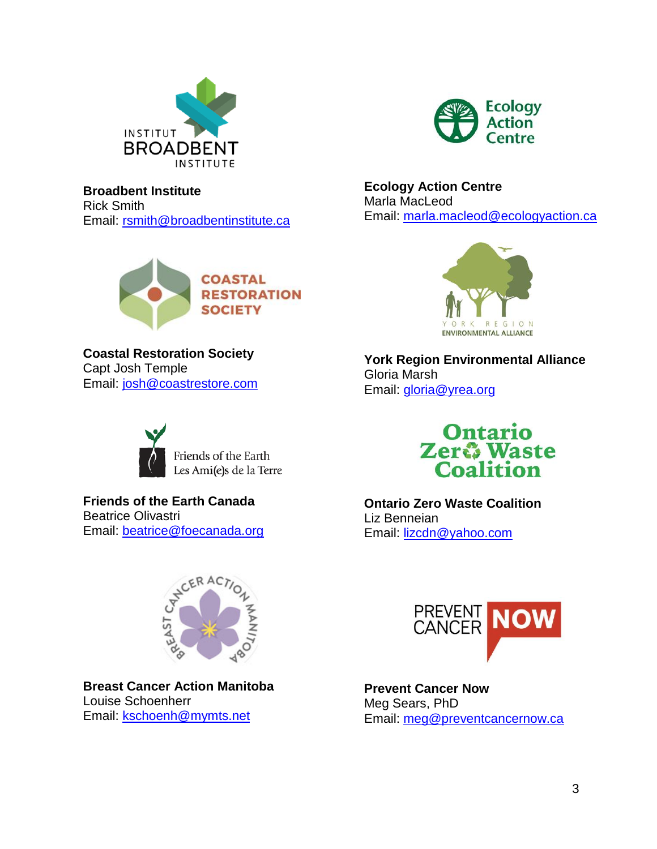



**Broadbent Institute** Rick Smith Email: [rsmith@broadbentinstitute.ca](mailto:rsmith@broadbentinstitute.ca)



**Coastal Restoration Society** Capt Josh Temple Email: [josh@coastrestore.com](mailto:josh@coastrestore.com)



Friends of the Earth Les Ami(e)s de la Terre

**Friends of the Earth Canada** Beatrice Olivastri Email: [beatrice@foecanada.org](mailto:beatrice@foecanada.org)



**Breast Cancer Action Manitoba** Louise Schoenherr Email: [kschoenh@mymts.net](mailto:kschoenh@mymts.net)

**Ecology Action Centre** Marla MacLeod Email: [marla.macleod@ecologyaction.ca](mailto:marla.macleod@ecologyaction.ca)



**York Region Environmental Alliance** Gloria Marsh Email: [gloria@yrea.org](mailto:gloria@yrea.org)



**Ontario Zero Waste Coalition** Liz Benneian Email: [lizcdn@yahoo.com](mailto:lizcdn@yahoo.com)



**Prevent Cancer Now** Meg Sears, PhD Email: [meg@preventcancernow.ca](mailto:meg@preventcancernow.ca)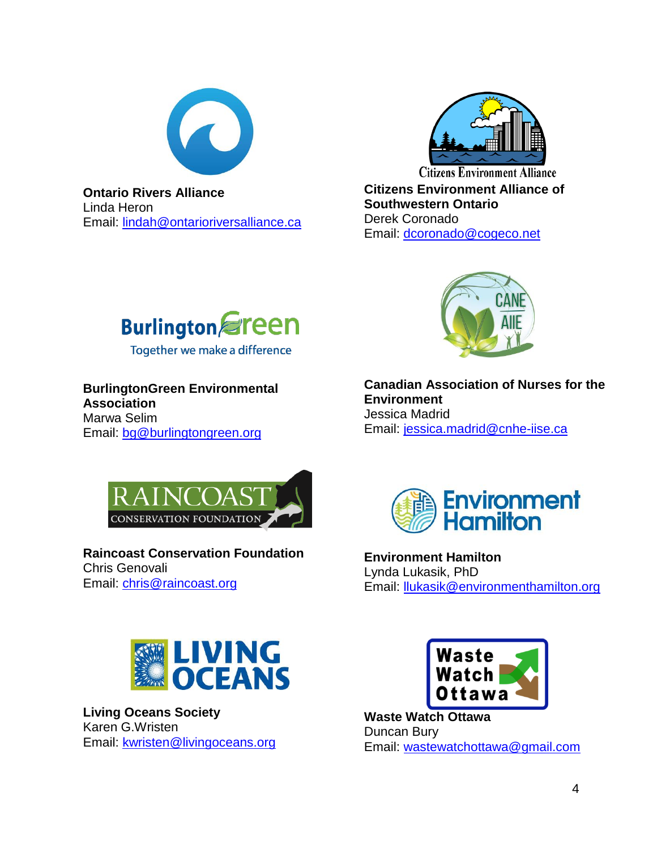

**Ontario Rivers Alliance** Linda Heron Email: lindah@ontarioriversalliance.ca



**Citizens Environment Alliance Citizens Environment Alliance of Southwestern Ontario** Derek Coronado Email: [dcoronado@cogeco.net](mailto:dcoronado@cogeco.net)



Together we make a difference

**BurlingtonGreen Environmental Association**

Marwa Selim Email: [bg@burlingtongreen.org](mailto:bg@burlingtongreen.org)



**Raincoast Conservation Foundation** Chris Genovali Email: [chris@raincoast.org](mailto:chris@raincoast.org)



**Canadian Association of Nurses for the Environment** Jessica Madrid Email: [jessica.madrid@cnhe-iise.ca](mailto:jessica.madrid@cnhe-iise.ca)



**Environment Hamilton** Lynda Lukasik, PhD Email: [llukasik@environmenthamilton.org](mailto:llukasik@environmenthamilton.org)



**Living Oceans Society** Karen G.Wristen Email: [kwristen@livingoceans.org](mailto:kwristen@livingoceans.org)



**Waste Watch Ottawa** Duncan Bury Email: [wastewatchottawa@gmail.com](mailto:wastewatchottawa@gmail.com)